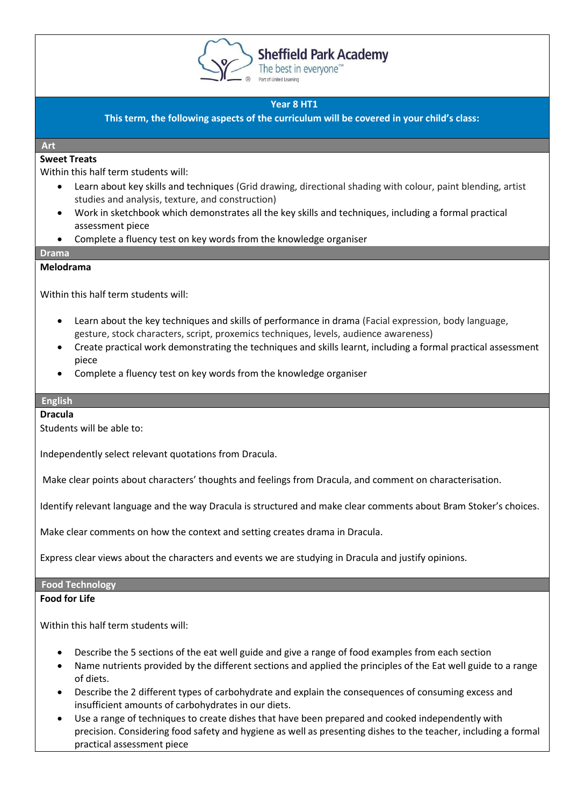

**Sheffield Park Academy** 

The best in everyone<sup>™</sup>

# **Year 8 HT1**

**This term, the following aspects of the curriculum will be covered in your child's class:**

#### **Art**

#### **Sweet Treats**

Within this half term students will:

- Learn about key skills and techniques (Grid drawing, directional shading with colour, paint blending, artist studies and analysis, texture, and construction)
- Work in sketchbook which demonstrates all the key skills and techniques, including a formal practical assessment piece
- Complete a fluency test on key words from the knowledge organiser

#### **Drama**

#### **Melodrama**

Within this half term students will:

- Learn about the key techniques and skills of performance in drama (Facial expression, body language, gesture, stock characters, script, proxemics techniques, levels, audience awareness)
- Create practical work demonstrating the techniques and skills learnt, including a formal practical assessment piece
- Complete a fluency test on key words from the knowledge organiser

#### **English**

#### **Dracula**

Students will be able to:

Independently select relevant quotations from Dracula.

Make clear points about characters' thoughts and feelings from Dracula, and comment on characterisation.

Identify relevant language and the way Dracula is structured and make clear comments about Bram Stoker's choices.

Make clear comments on how the context and setting creates drama in Dracula.

Express clear views about the characters and events we are studying in Dracula and justify opinions.

#### **Food Technology**

#### **Food for Life**

Within this half term students will:

- Describe the 5 sections of the eat well guide and give a range of food examples from each section
- Name nutrients provided by the different sections and applied the principles of the Eat well guide to a range of diets.
- Describe the 2 different types of carbohydrate and explain the consequences of consuming excess and insufficient amounts of carbohydrates in our diets.
- Use a range of techniques to create dishes that have been prepared and cooked independently with precision. Considering food safety and hygiene as well as presenting dishes to the teacher, including a formal practical assessment piece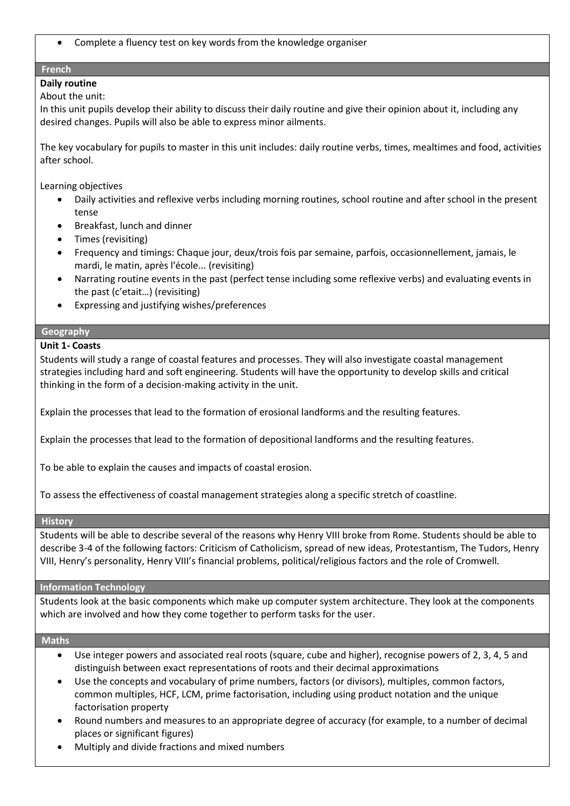• Complete a fluency test on key words from the knowledge organiser

# **French**

# **Daily routine**

## About the unit:

In this unit pupils develop their ability to discuss their daily routine and give their opinion about it, including any desired changes. Pupils will also be able to express minor ailments.

The key vocabulary for pupils to master in this unit includes: daily routine verbs, times, mealtimes and food, activities after school.

Learning objectives

- Daily activities and reflexive verbs including morning routines, school routine and after school in the present tense
- Breakfast, lunch and dinner
- Times (revisiting)
- Frequency and timings: Chaque jour, deux/trois fois par semaine, parfois, occasionnellement, jamais, le mardi, le matin, après l'école... (revisiting)
- Narrating routine events in the past (perfect tense including some reflexive verbs) and evaluating events in the past (c'etait…) (revisiting)
- Expressing and justifying wishes/preferences

## **Geography**

# **Unit 1- Coasts**

Students will study a range of coastal features and processes. They will also investigate coastal management strategies including hard and soft engineering. Students will have the opportunity to develop skills and critical thinking in the form of a decision-making activity in the unit.

Explain the processes that lead to the formation of erosional landforms and the resulting features.

Explain the processes that lead to the formation of depositional landforms and the resulting features.

To be able to explain the causes and impacts of coastal erosion.

To assess the effectiveness of coastal management strategies along a specific stretch of coastline.

#### **History**

Students will be able to describe several of the reasons why Henry VIII broke from Rome. Students should be able to describe 3-4 of the following factors: Criticism of Catholicism, spread of new ideas, Protestantism, The Tudors, Henry VIII, Henry's personality, Henry VIII's financial problems, political/religious factors and the role of Cromwell.

#### **Information Technology**

Students look at the basic components which make up computer system architecture. They look at the components which are involved and how they come together to perform tasks for the user.

#### **Maths**

- Use integer powers and associated real roots (square, cube and higher), recognise powers of 2, 3, 4, 5 and distinguish between exact representations of roots and their decimal approximations
- Use the concepts and vocabulary of prime numbers, factors (or divisors), multiples, common factors, common multiples, HCF, LCM, prime factorisation, including using product notation and the unique factorisation property
- Round numbers and measures to an appropriate degree of accuracy (for example, to a number of decimal places or significant figures)
- Multiply and divide fractions and mixed numbers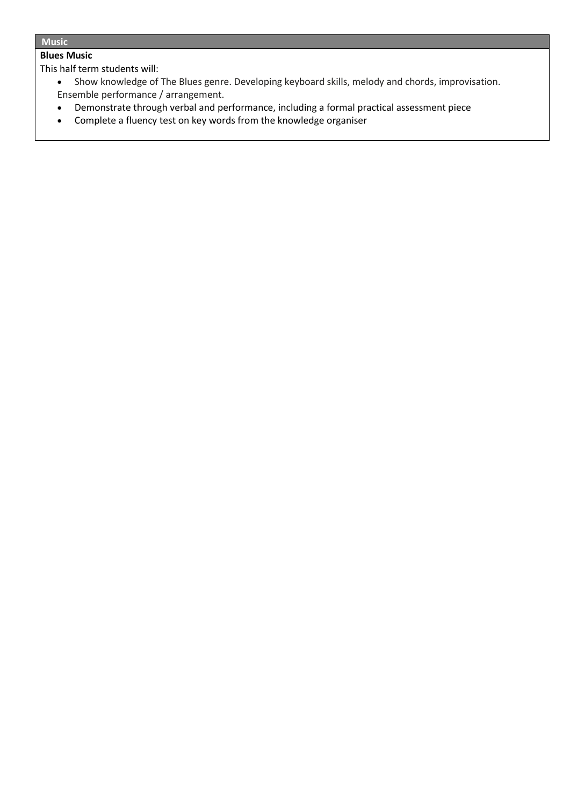## **Music**

# **Blues Music**

This half term students will:

- Show knowledge of The Blues genre. Developing keyboard skills, melody and chords, improvisation. Ensemble performance / arrangement.
- Demonstrate through verbal and performance, including a formal practical assessment piece
- Complete a fluency test on key words from the knowledge organiser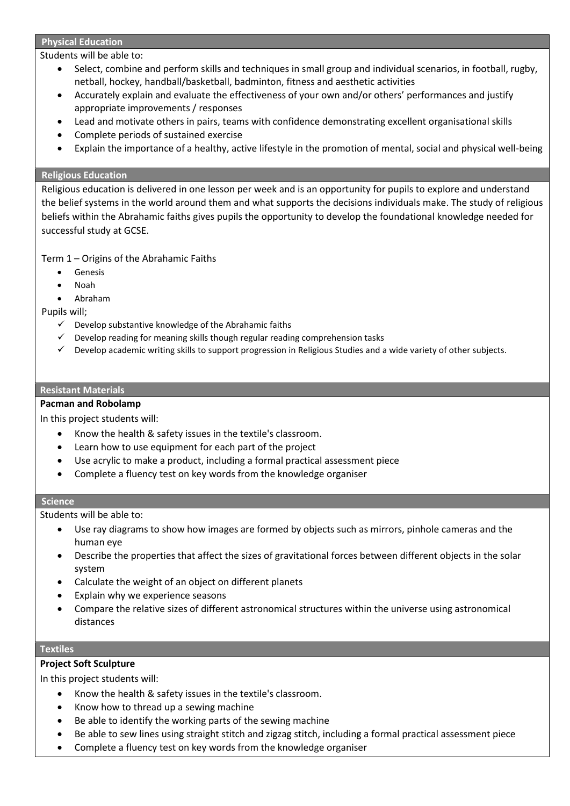#### **Physical Education**

Students will be able to:

- Select, combine and perform skills and techniques in small group and individual scenarios, in football, rugby, netball, hockey, handball/basketball, badminton, fitness and aesthetic activities
- Accurately explain and evaluate the effectiveness of your own and/or others' performances and justify appropriate improvements / responses
- Lead and motivate others in pairs, teams with confidence demonstrating excellent organisational skills
- Complete periods of sustained exercise
- Explain the importance of a healthy, active lifestyle in the promotion of mental, social and physical well-being

#### **Religious Education**

Religious education is delivered in one lesson per week and is an opportunity for pupils to explore and understand the belief systems in the world around them and what supports the decisions individuals make. The study of religious beliefs within the Abrahamic faiths gives pupils the opportunity to develop the foundational knowledge needed for successful study at GCSE.

Term 1 – Origins of the Abrahamic Faiths

- **Genesis**
- Noah
- Abraham

Pupils will;

- $\checkmark$  Develop substantive knowledge of the Abrahamic faiths
- ✓ Develop reading for meaning skills though regular reading comprehension tasks
- ✓ Develop academic writing skills to support progression in Religious Studies and a wide variety of other subjects.

#### **Resistant Materials**

#### **Pacman and Robolamp**

In this project students will:

- Know the health & safety issues in the textile's classroom.
- Learn how to use equipment for each part of the project
- Use acrylic to make a product, including a formal practical assessment piece
- Complete a fluency test on key words from the knowledge organiser

#### **Science**

Students will be able to:

- Use ray diagrams to show how images are formed by objects such as mirrors, pinhole cameras and the human eye
- Describe the properties that affect the sizes of gravitational forces between different objects in the solar system
- Calculate the weight of an object on different planets
- Explain why we experience seasons
- Compare the relative sizes of different astronomical structures within the universe using astronomical distances

## **Textiles**

# **Project Soft Sculpture**

- Know the health & safety issues in the textile's classroom.
- Know how to thread up a sewing machine
- Be able to identify the working parts of the sewing machine
- Be able to sew lines using straight stitch and zigzag stitch, including a formal practical assessment piece
- Complete a fluency test on key words from the knowledge organiser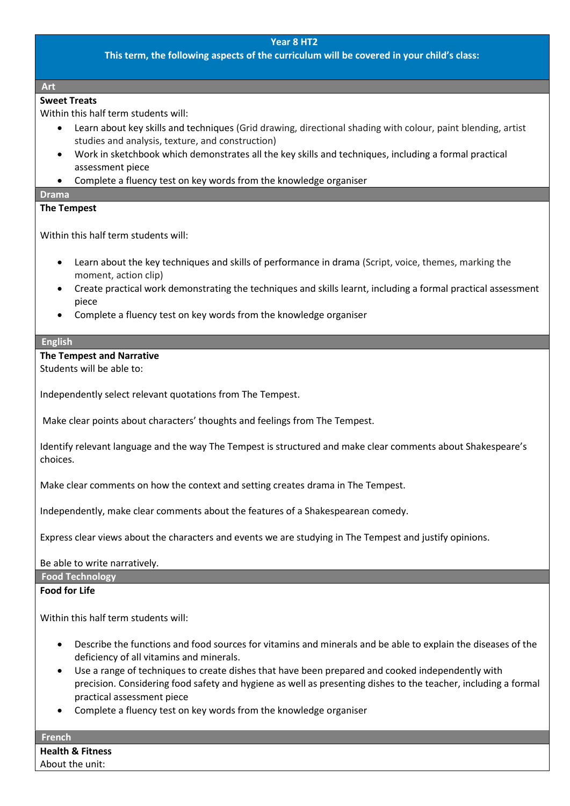## **This term, the following aspects of the curriculum will be covered in your child's class:**

#### **Art**

# **Sweet Treats**

Within this half term students will:

- Learn about key skills and techniques (Grid drawing, directional shading with colour, paint blending, artist studies and analysis, texture, and construction)
- Work in sketchbook which demonstrates all the key skills and techniques, including a formal practical assessment piece
- Complete a fluency test on key words from the knowledge organiser

#### **Drama**

## **The Tempest**

Within this half term students will:

- Learn about the key techniques and skills of performance in drama (Script, voice, themes, marking the moment, action clip)
- Create practical work demonstrating the techniques and skills learnt, including a formal practical assessment piece
- Complete a fluency test on key words from the knowledge organiser

#### **English**

#### **The Tempest and Narrative**

Students will be able to:

Independently select relevant quotations from The Tempest.

Make clear points about characters' thoughts and feelings from The Tempest.

Identify relevant language and the way The Tempest is structured and make clear comments about Shakespeare's choices.

Make clear comments on how the context and setting creates drama in The Tempest.

Independently, make clear comments about the features of a Shakespearean comedy.

Express clear views about the characters and events we are studying in The Tempest and justify opinions.

#### Be able to write narratively.

**Food Technology**

### **Food for Life**

Within this half term students will:

- Describe the functions and food sources for vitamins and minerals and be able to explain the diseases of the deficiency of all vitamins and minerals.
- Use a range of techniques to create dishes that have been prepared and cooked independently with precision. Considering food safety and hygiene as well as presenting dishes to the teacher, including a formal practical assessment piece
- Complete a fluency test on key words from the knowledge organiser

**French Health & Fitness** About the unit: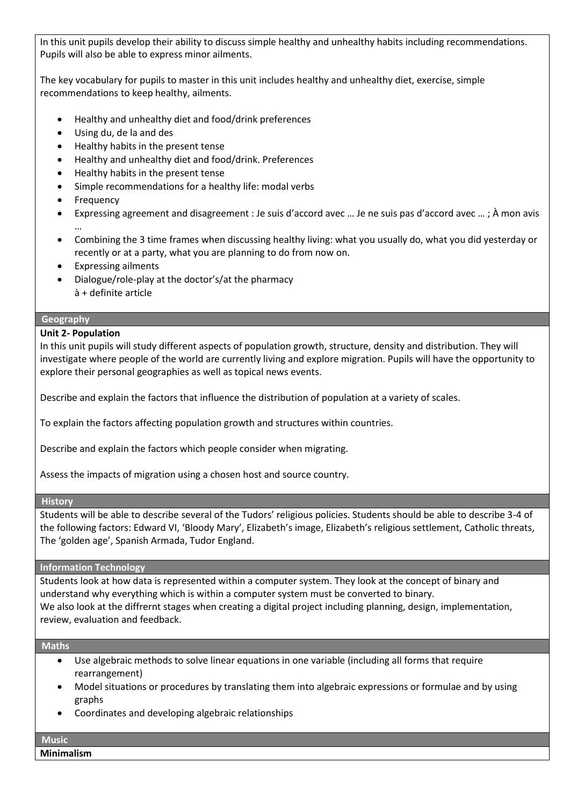In this unit pupils develop their ability to discuss simple healthy and unhealthy habits including recommendations. Pupils will also be able to express minor ailments.

The key vocabulary for pupils to master in this unit includes healthy and unhealthy diet, exercise, simple recommendations to keep healthy, ailments.

- Healthy and unhealthy diet and food/drink preferences
- Using du, de la and des
- Healthy habits in the present tense
- Healthy and unhealthy diet and food/drink. Preferences
- Healthy habits in the present tense
- Simple recommendations for a healthy life: modal verbs
- **Frequency**
- Expressing agreement and disagreement : Je suis d'accord avec … Je ne suis pas d'accord avec … ; À mon avis …
- Combining the 3 time frames when discussing healthy living: what you usually do, what you did yesterday or recently or at a party, what you are planning to do from now on.
- Expressing ailments
- Dialogue/role-play at the doctor's/at the pharmacy • à + definite article

## **Geography**

# **Unit 2- Population**

In this unit pupils will study different aspects of population growth, structure, density and distribution. They will investigate where people of the world are currently living and explore migration. Pupils will have the opportunity to explore their personal geographies as well as topical news events.

Describe and explain the factors that influence the distribution of population at a variety of scales.

To explain the factors affecting population growth and structures within countries.

Describe and explain the factors which people consider when migrating.

Assess the impacts of migration using a chosen host and source country.

#### **History**

Students will be able to describe several of the Tudors' religious policies. Students should be able to describe 3-4 of the following factors: Edward VI, 'Bloody Mary', Elizabeth's image, Elizabeth's religious settlement, Catholic threats, The 'golden age', Spanish Armada, Tudor England.

#### **Information Technology**

Students look at how data is represented within a computer system. They look at the concept of binary and understand why everything which is within a computer system must be converted to binary. We also look at the diffrernt stages when creating a digital project including planning, design, implementation, review, evaluation and feedback.

#### **Maths**

- Use algebraic methods to solve linear equations in one variable (including all forms that require rearrangement)
- Model situations or procedures by translating them into algebraic expressions or formulae and by using graphs
- Coordinates and developing algebraic relationships

# **Music**

**Minimalism**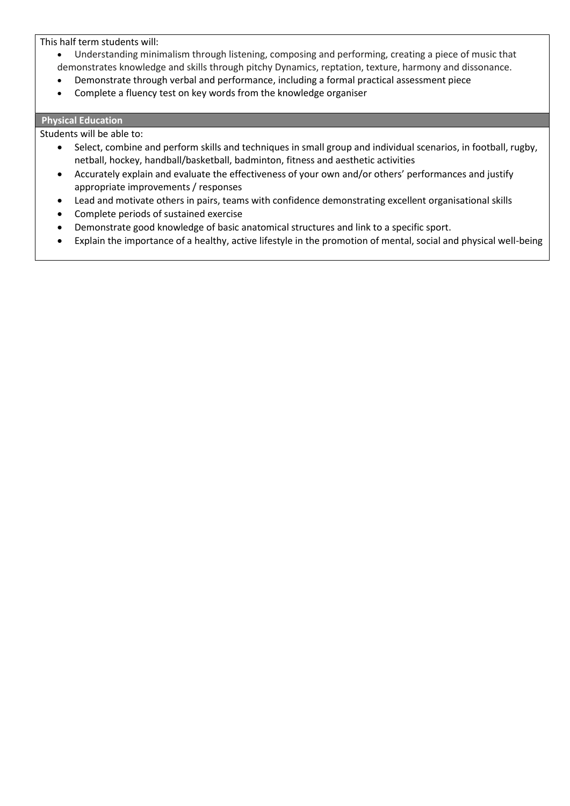This half term students will:

- Understanding minimalism through listening, composing and performing, creating a piece of music that demonstrates knowledge and skills through pitchy Dynamics, reptation, texture, harmony and dissonance.
- Demonstrate through verbal and performance, including a formal practical assessment piece
- Complete a fluency test on key words from the knowledge organiser

## **Physical Education**

#### Students will be able to:

- Select, combine and perform skills and techniques in small group and individual scenarios, in football, rugby, netball, hockey, handball/basketball, badminton, fitness and aesthetic activities
- Accurately explain and evaluate the effectiveness of your own and/or others' performances and justify appropriate improvements / responses
- Lead and motivate others in pairs, teams with confidence demonstrating excellent organisational skills
- Complete periods of sustained exercise
- Demonstrate good knowledge of basic anatomical structures and link to a specific sport.
- Explain the importance of a healthy, active lifestyle in the promotion of mental, social and physical well-being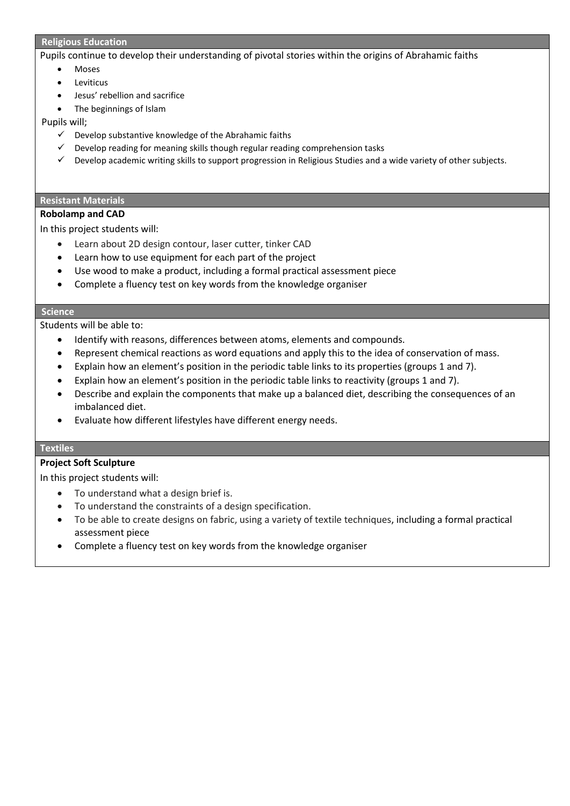#### **Religious Education**

Pupils continue to develop their understanding of pivotal stories within the origins of Abrahamic faiths

- **Moses**
- Leviticus
- Jesus' rebellion and sacrifice
- The beginnings of Islam

Pupils will;

- $\checkmark$  Develop substantive knowledge of the Abrahamic faiths
- $\checkmark$  Develop reading for meaning skills though regular reading comprehension tasks
- ✓ Develop academic writing skills to support progression in Religious Studies and a wide variety of other subjects.

#### **Resistant Materials**

#### **Robolamp and CAD**

In this project students will:

- Learn about 2D design contour, laser cutter, tinker CAD
- Learn how to use equipment for each part of the project
- Use wood to make a product, including a formal practical assessment piece
- Complete a fluency test on key words from the knowledge organiser

#### **Science**

Students will be able to:

- Identify with reasons, differences between atoms, elements and compounds.
- Represent chemical reactions as word equations and apply this to the idea of conservation of mass.
- Explain how an element's position in the periodic table links to its properties (groups 1 and 7).
- Explain how an element's position in the periodic table links to reactivity (groups 1 and 7).
- Describe and explain the components that make up a balanced diet, describing the consequences of an imbalanced diet.
- Evaluate how different lifestyles have different energy needs.

#### **Textiles**

#### **Project Soft Sculpture**

- To understand what a design brief is.
- To understand the constraints of a design specification.
- To be able to create designs on fabric, using a variety of textile techniques, including a formal practical assessment piece
- Complete a fluency test on key words from the knowledge organiser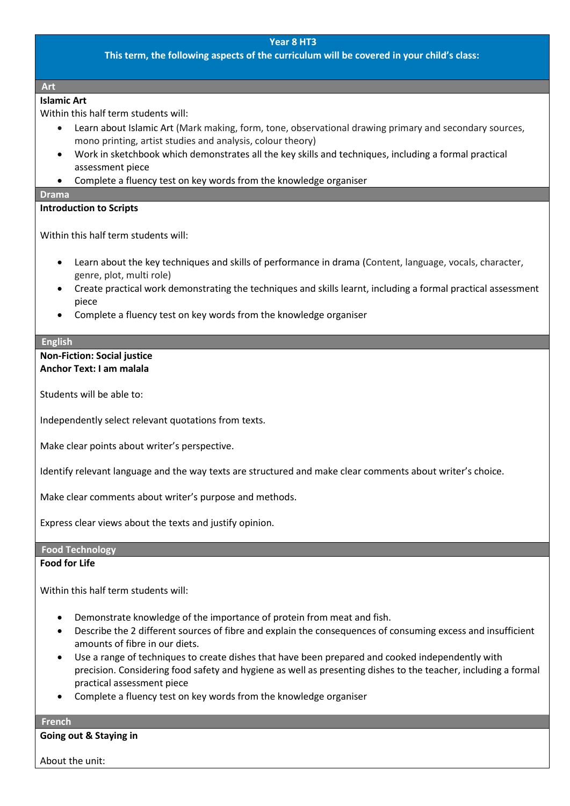**This term, the following aspects of the curriculum will be covered in your child's class:**

#### **Art**

# **Islamic Art**

Within this half term students will:

- Learn about Islamic Art (Mark making, form, tone, observational drawing primary and secondary sources, mono printing, artist studies and analysis, colour theory)
- Work in sketchbook which demonstrates all the key skills and techniques, including a formal practical assessment piece
- Complete a fluency test on key words from the knowledge organiser

#### **Drama**

## **Introduction to Scripts**

Within this half term students will:

- Learn about the key techniques and skills of performance in drama (Content, language, vocals, character, genre, plot, multi role)
- Create practical work demonstrating the techniques and skills learnt, including a formal practical assessment piece
- Complete a fluency test on key words from the knowledge organiser

#### **English**

#### **Non-Fiction: Social justice Anchor Text: I am malala**

Students will be able to:

Independently select relevant quotations from texts.

Make clear points about writer's perspective.

Identify relevant language and the way texts are structured and make clear comments about writer's choice.

Make clear comments about writer's purpose and methods.

Express clear views about the texts and justify opinion.

# **Food Technology**

## **Food for Life**

Within this half term students will:

- Demonstrate knowledge of the importance of protein from meat and fish.
- Describe the 2 different sources of fibre and explain the consequences of consuming excess and insufficient amounts of fibre in our diets.
- Use a range of techniques to create dishes that have been prepared and cooked independently with precision. Considering food safety and hygiene as well as presenting dishes to the teacher, including a formal practical assessment piece
- Complete a fluency test on key words from the knowledge organiser

#### **French**

**Going out & Staying in**

About the unit: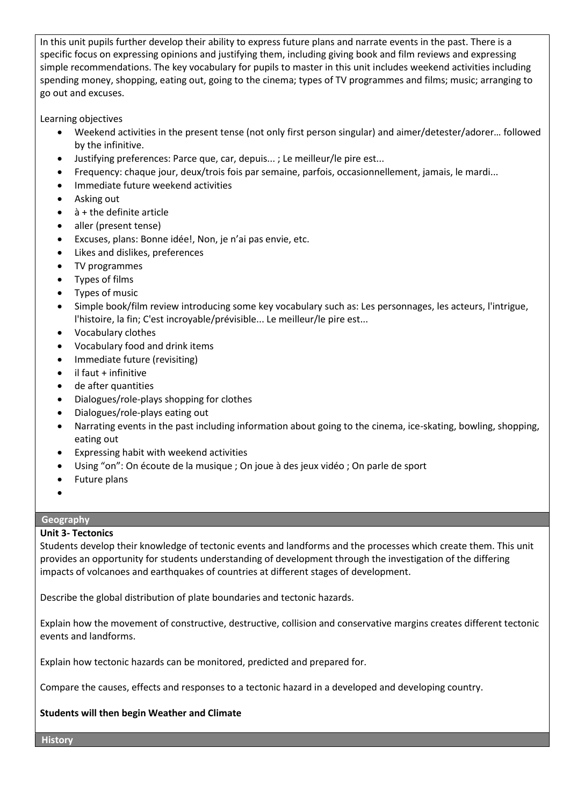In this unit pupils further develop their ability to express future plans and narrate events in the past. There is a specific focus on expressing opinions and justifying them, including giving book and film reviews and expressing simple recommendations. The key vocabulary for pupils to master in this unit includes weekend activities including spending money, shopping, eating out, going to the cinema; types of TV programmes and films; music; arranging to go out and excuses.

Learning objectives

- Weekend activities in the present tense (not only first person singular) and aimer/detester/adorer… followed by the infinitive.
- Justifying preferences: Parce que, car, depuis... ; Le meilleur/le pire est...
- Frequency: chaque jour, deux/trois fois par semaine, parfois, occasionnellement, jamais, le mardi...
- Immediate future weekend activities
- Asking out
- à + the definite article
- aller (present tense)
- Excuses, plans: Bonne idée!, Non, je n'ai pas envie, etc.
- Likes and dislikes, preferences
- TV programmes
- Types of films
- Types of music
- Simple book/film review introducing some key vocabulary such as: Les personnages, les acteurs, l'intrigue, l'histoire, la fin; C'est incroyable/prévisible... Le meilleur/le pire est...
- Vocabulary clothes
- Vocabulary food and drink items
- Immediate future (revisiting)
- il faut + infinitive
- de after quantities
- Dialogues/role-plays shopping for clothes
- Dialogues/role-plays eating out
- Narrating events in the past including information about going to the cinema, ice-skating, bowling, shopping, eating out
- Expressing habit with weekend activities
- Using "on": On écoute de la musique ; On joue à des jeux vidéo ; On parle de sport
- Future plans
- •

# **Geography**

# **Unit 3- Tectonics**

Students develop their knowledge of tectonic events and landforms and the processes which create them. This unit provides an opportunity for students understanding of development through the investigation of the differing impacts of volcanoes and earthquakes of countries at different stages of development.

Describe the global distribution of plate boundaries and tectonic hazards.

Explain how the movement of constructive, destructive, collision and conservative margins creates different tectonic events and landforms.

Explain how tectonic hazards can be monitored, predicted and prepared for.

Compare the causes, effects and responses to a tectonic hazard in a developed and developing country.

# **Students will then begin Weather and Climate**

**History**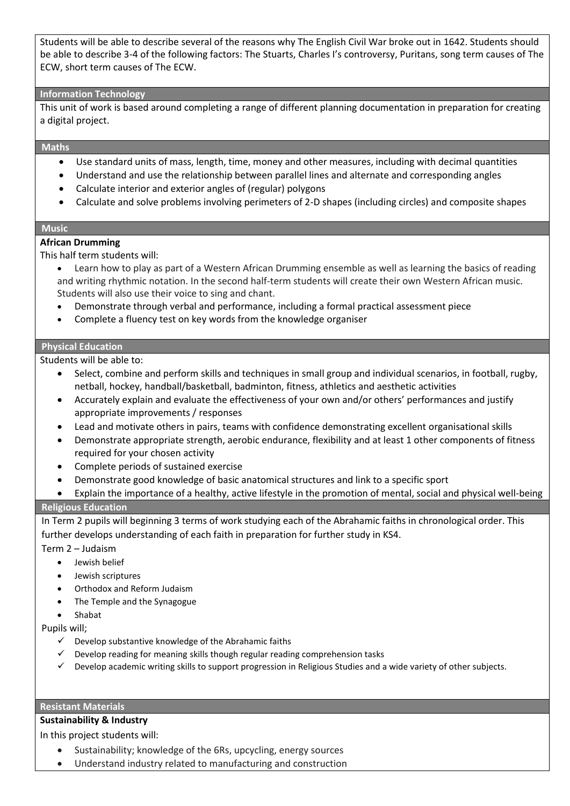Students will be able to describe several of the reasons why The English Civil War broke out in 1642. Students should be able to describe 3-4 of the following factors: The Stuarts, Charles I's controversy, Puritans, song term causes of The ECW, short term causes of The ECW.

#### **Information Technology**

This unit of work is based around completing a range of different planning documentation in preparation for creating a digital project.

#### **Maths**

- Use standard units of mass, length, time, money and other measures, including with decimal quantities
- Understand and use the relationship between parallel lines and alternate and corresponding angles
- Calculate interior and exterior angles of (regular) polygons
- Calculate and solve problems involving perimeters of 2-D shapes (including circles) and composite shapes

#### **Music**

#### **African Drumming**

This half term students will:

- Learn how to play as part of a Western African Drumming ensemble as well as learning the basics of reading and writing rhythmic notation. In the second half-term students will create their own Western African music. Students will also use their voice to sing and chant.
- Demonstrate through verbal and performance, including a formal practical assessment piece
- Complete a fluency test on key words from the knowledge organiser

#### **Physical Education**

Students will be able to:

- Select, combine and perform skills and techniques in small group and individual scenarios, in football, rugby, netball, hockey, handball/basketball, badminton, fitness, athletics and aesthetic activities
- Accurately explain and evaluate the effectiveness of your own and/or others' performances and justify appropriate improvements / responses
- Lead and motivate others in pairs, teams with confidence demonstrating excellent organisational skills
- Demonstrate appropriate strength, aerobic endurance, flexibility and at least 1 other components of fitness required for your chosen activity
- Complete periods of sustained exercise
- Demonstrate good knowledge of basic anatomical structures and link to a specific sport
- Explain the importance of a healthy, active lifestyle in the promotion of mental, social and physical well-being

# **Religious Education**

In Term 2 pupils will beginning 3 terms of work studying each of the Abrahamic faiths in chronological order. This further develops understanding of each faith in preparation for further study in KS4.

Term 2 – Judaism

- Jewish belief
- Jewish scriptures
- Orthodox and Reform Judaism
- The Temple and the Synagogue
- Shabat

Pupils will;

- $\checkmark$  Develop substantive knowledge of the Abrahamic faiths
- ✓ Develop reading for meaning skills though regular reading comprehension tasks
- $\checkmark$  Develop academic writing skills to support progression in Religious Studies and a wide variety of other subjects.

#### **Resistant Materials**

# **Sustainability & Industry**

- Sustainability; knowledge of the 6Rs, upcycling, energy sources
- Understand industry related to manufacturing and construction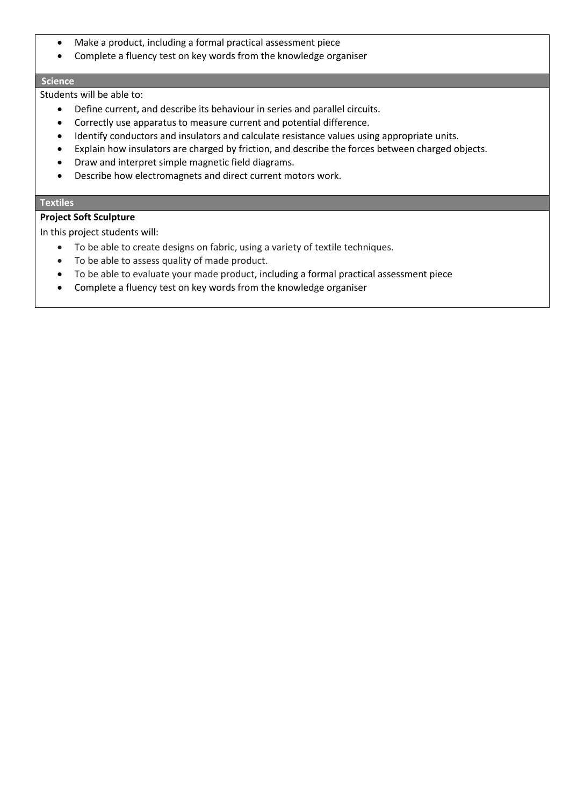- Make a product, including a formal practical assessment piece
- Complete a fluency test on key words from the knowledge organiser

#### **Science**

Students will be able to:

- Define current, and describe its behaviour in series and parallel circuits.
- Correctly use apparatus to measure current and potential difference.
- Identify conductors and insulators and calculate resistance values using appropriate units.
- Explain how insulators are charged by friction, and describe the forces between charged objects.
- Draw and interpret simple magnetic field diagrams.
- Describe how electromagnets and direct current motors work.

## **Textiles**

# **Project Soft Sculpture**

- To be able to create designs on fabric, using a variety of textile techniques.
- To be able to assess quality of made product.
- To be able to evaluate your made product, including a formal practical assessment piece
- Complete a fluency test on key words from the knowledge organiser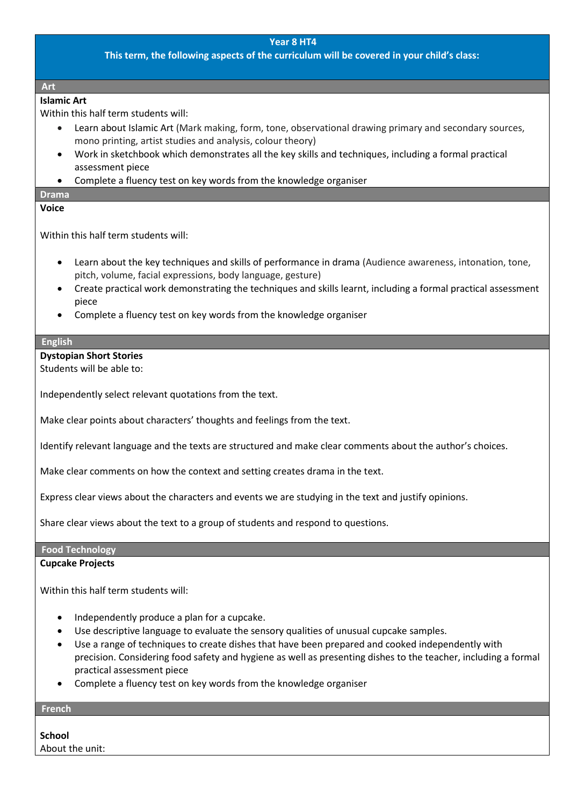**This term, the following aspects of the curriculum will be covered in your child's class:**

#### **Art**

# **Islamic Art**

Within this half term students will:

- Learn about Islamic Art (Mark making, form, tone, observational drawing primary and secondary sources, mono printing, artist studies and analysis, colour theory)
- Work in sketchbook which demonstrates all the key skills and techniques, including a formal practical assessment piece
- Complete a fluency test on key words from the knowledge organiser

# **Drama**

## **Voice**

Within this half term students will:

- Learn about the key techniques and skills of performance in drama (Audience awareness, intonation, tone, pitch, volume, facial expressions, body language, gesture)
- Create practical work demonstrating the techniques and skills learnt, including a formal practical assessment piece
- Complete a fluency test on key words from the knowledge organiser

#### **English**

## **Dystopian Short Stories**

Students will be able to:

Independently select relevant quotations from the text.

Make clear points about characters' thoughts and feelings from the text.

Identify relevant language and the texts are structured and make clear comments about the author's choices.

Make clear comments on how the context and setting creates drama in the text.

Express clear views about the characters and events we are studying in the text and justify opinions.

Share clear views about the text to a group of students and respond to questions.

# **Food Technology**

#### **Cupcake Projects**

Within this half term students will:

- Independently produce a plan for a cupcake.
- Use descriptive language to evaluate the sensory qualities of unusual cupcake samples.
- Use a range of techniques to create dishes that have been prepared and cooked independently with precision. Considering food safety and hygiene as well as presenting dishes to the teacher, including a formal practical assessment piece
- Complete a fluency test on key words from the knowledge organiser

# **French**

**School**  About the unit: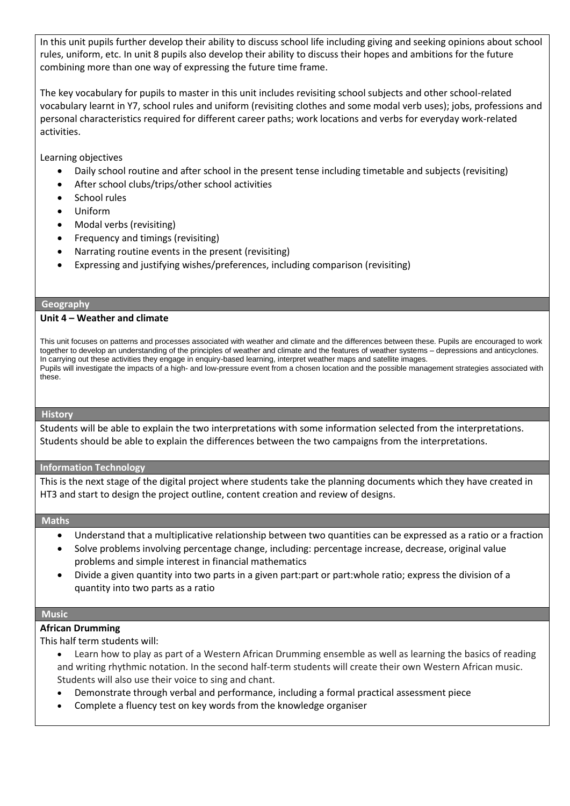In this unit pupils further develop their ability to discuss school life including giving and seeking opinions about school rules, uniform, etc. In unit 8 pupils also develop their ability to discuss their hopes and ambitions for the future combining more than one way of expressing the future time frame.

The key vocabulary for pupils to master in this unit includes revisiting school subjects and other school-related vocabulary learnt in Y7, school rules and uniform (revisiting clothes and some modal verb uses); jobs, professions and personal characteristics required for different career paths; work locations and verbs for everyday work-related activities.

Learning objectives

- Daily school routine and after school in the present tense including timetable and subjects (revisiting)
- After school clubs/trips/other school activities
- School rules
- Uniform
- Modal verbs (revisiting)
- Frequency and timings (revisiting)
- Narrating routine events in the present (revisiting)
- Expressing and justifying wishes/preferences, including comparison (revisiting)

#### **Geography**

#### **Unit 4 – Weather and climate**

This unit focuses on patterns and processes associated with weather and climate and the differences between these. Pupils are encouraged to work together to develop an understanding of the principles of weather and climate and the features of weather systems – depressions and anticyclones. In carrying out these activities they engage in enquiry-based learning, interpret weather maps and satellite images. Pupils will investigate the impacts of a high- and low-pressure event from a chosen location and the possible management strategies associated with these.

#### **History**

Students will be able to explain the two interpretations with some information selected from the interpretations. Students should be able to explain the differences between the two campaigns from the interpretations.

#### **Information Technology**

This is the next stage of the digital project where students take the planning documents which they have created in HT3 and start to design the project outline, content creation and review of designs.

#### **Maths**

- Understand that a multiplicative relationship between two quantities can be expressed as a ratio or a fraction
- Solve problems involving percentage change, including: percentage increase, decrease, original value problems and simple interest in financial mathematics
- Divide a given quantity into two parts in a given part:part or part:whole ratio; express the division of a quantity into two parts as a ratio

#### **Music**

#### **African Drumming**

This half term students will:

- Learn how to play as part of a Western African Drumming ensemble as well as learning the basics of reading and writing rhythmic notation. In the second half-term students will create their own Western African music. Students will also use their voice to sing and chant.
- Demonstrate through verbal and performance, including a formal practical assessment piece
- Complete a fluency test on key words from the knowledge organiser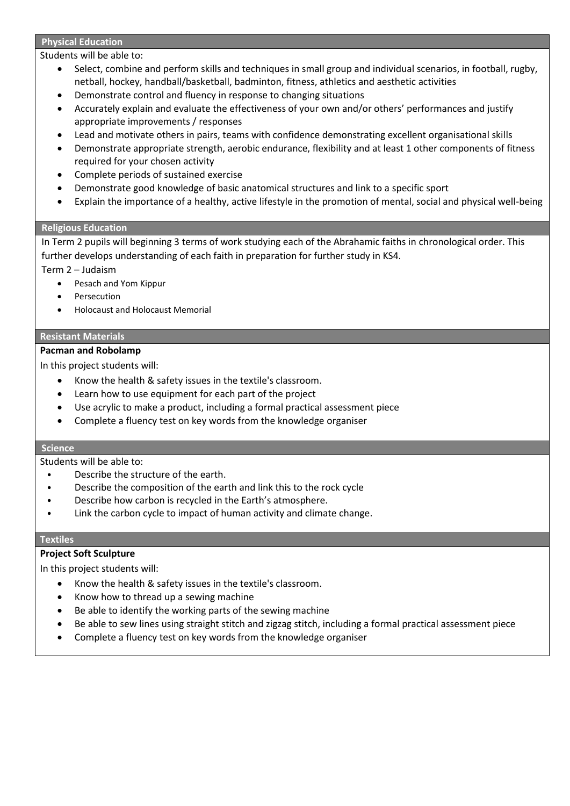#### **Physical Education**

Students will be able to:

- Select, combine and perform skills and techniques in small group and individual scenarios, in football, rugby, netball, hockey, handball/basketball, badminton, fitness, athletics and aesthetic activities
- Demonstrate control and fluency in response to changing situations
- Accurately explain and evaluate the effectiveness of your own and/or others' performances and justify appropriate improvements / responses
- Lead and motivate others in pairs, teams with confidence demonstrating excellent organisational skills
- Demonstrate appropriate strength, aerobic endurance, flexibility and at least 1 other components of fitness required for your chosen activity
- Complete periods of sustained exercise
- Demonstrate good knowledge of basic anatomical structures and link to a specific sport
- Explain the importance of a healthy, active lifestyle in the promotion of mental, social and physical well-being

## **Religious Education**

In Term 2 pupils will beginning 3 terms of work studying each of the Abrahamic faiths in chronological order. This further develops understanding of each faith in preparation for further study in KS4.

- Term 2 Judaism
	- Pesach and Yom Kippur
	- Persecution
	- Holocaust and Holocaust Memorial

## **Resistant Materials**

# **Pacman and Robolamp**

In this project students will:

- Know the health & safety issues in the textile's classroom.
- Learn how to use equipment for each part of the project
- Use acrylic to make a product, including a formal practical assessment piece
- Complete a fluency test on key words from the knowledge organiser

#### **Science**

Students will be able to:

- Describe the structure of the earth.
- Describe the composition of the earth and link this to the rock cycle
- Describe how carbon is recycled in the Earth's atmosphere.
- Link the carbon cycle to impact of human activity and climate change.

#### **Textiles**

# **Project Soft Sculpture**

- Know the health & safety issues in the textile's classroom.
- Know how to thread up a sewing machine
- Be able to identify the working parts of the sewing machine
- Be able to sew lines using straight stitch and zigzag stitch, including a formal practical assessment piece
- Complete a fluency test on key words from the knowledge organiser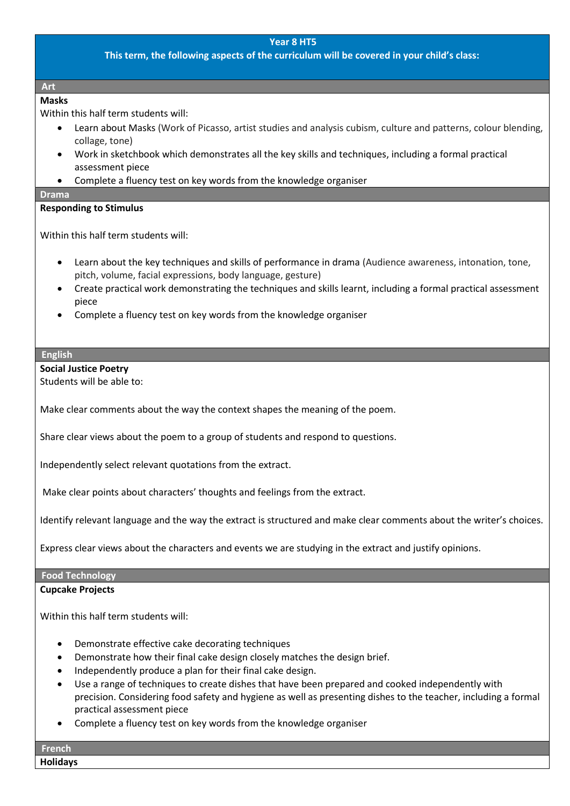## **This term, the following aspects of the curriculum will be covered in your child's class:**

#### **Art**

# **Masks**

Within this half term students will:

- Learn about Masks (Work of Picasso, artist studies and analysis cubism, culture and patterns, colour blending, collage, tone)
- Work in sketchbook which demonstrates all the key skills and techniques, including a formal practical assessment piece
- Complete a fluency test on key words from the knowledge organiser

#### **Drama**

## **Responding to Stimulus**

Within this half term students will:

- Learn about the key techniques and skills of performance in drama (Audience awareness, intonation, tone, pitch, volume, facial expressions, body language, gesture)
- Create practical work demonstrating the techniques and skills learnt, including a formal practical assessment piece
- Complete a fluency test on key words from the knowledge organiser

# **English**

**Social Justice Poetry**

Students will be able to:

Make clear comments about the way the context shapes the meaning of the poem.

Share clear views about the poem to a group of students and respond to questions.

Independently select relevant quotations from the extract.

Make clear points about characters' thoughts and feelings from the extract.

Identify relevant language and the way the extract is structured and make clear comments about the writer's choices.

Express clear views about the characters and events we are studying in the extract and justify opinions.

#### **Food Technology Cupcake Projects**

Within this half term students will:

- Demonstrate effective cake decorating techniques
- Demonstrate how their final cake design closely matches the design brief.
- Independently produce a plan for their final cake design.
- Use a range of techniques to create dishes that have been prepared and cooked independently with precision. Considering food safety and hygiene as well as presenting dishes to the teacher, including a formal practical assessment piece
- Complete a fluency test on key words from the knowledge organiser

**French Holidays**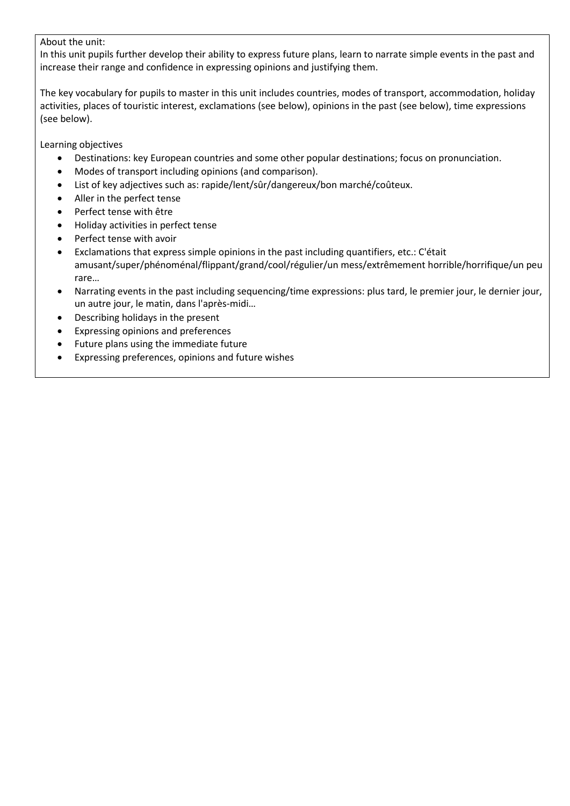## About the unit:

In this unit pupils further develop their ability to express future plans, learn to narrate simple events in the past and increase their range and confidence in expressing opinions and justifying them.

The key vocabulary for pupils to master in this unit includes countries, modes of transport, accommodation, holiday activities, places of touristic interest, exclamations (see below), opinions in the past (see below), time expressions (see below).

Learning objectives

- Destinations: key European countries and some other popular destinations; focus on pronunciation.
- Modes of transport including opinions (and comparison).
- List of key adjectives such as: rapide/lent/sûr/dangereux/bon marché/coûteux.
- Aller in the perfect tense
- Perfect tense with être
- Holiday activities in perfect tense
- Perfect tense with avoir
- Exclamations that express simple opinions in the past including quantifiers, etc.: C'était amusant/super/phénoménal/flippant/grand/cool/régulier/un mess/extrêmement horrible/horrifique/un peu rare…
- Narrating events in the past including sequencing/time expressions: plus tard, le premier jour, le dernier jour, un autre jour, le matin, dans l'après-midi…
- Describing holidays in the present
- Expressing opinions and preferences
- Future plans using the immediate future
- Expressing preferences, opinions and future wishes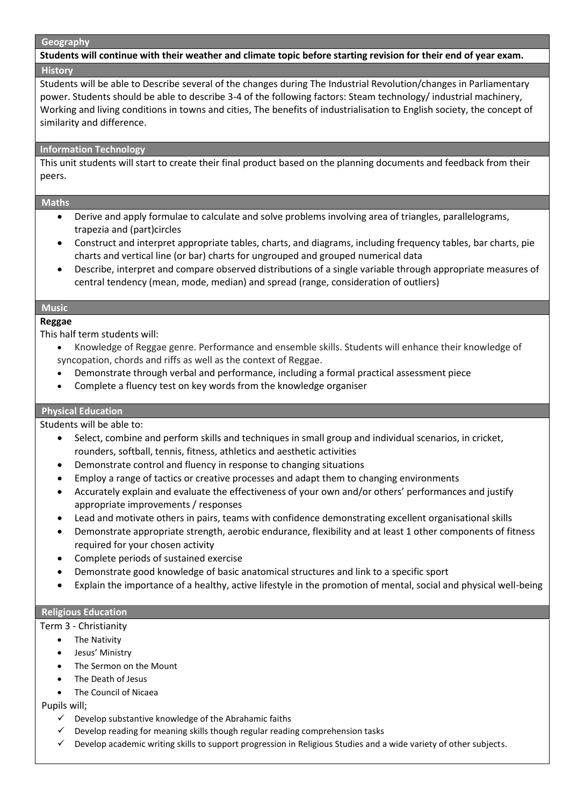#### **Geography**

**Students will continue with their weather and climate topic before starting revision for their end of year exam. History**

Students will be able to Describe several of the changes during The Industrial Revolution/changes in Parliamentary power. Students should be able to describe 3-4 of the following factors: Steam technology/ industrial machinery, Working and living conditions in towns and cities, The benefits of industrialisation to English society, the concept of similarity and difference.

#### **Information Technology**

This unit students will start to create their final product based on the planning documents and feedback from their peers.

#### **Maths**

- Derive and apply formulae to calculate and solve problems involving area of triangles, parallelograms, trapezia and (part)circles
- Construct and interpret appropriate tables, charts, and diagrams, including frequency tables, bar charts, pie charts and vertical line (or bar) charts for ungrouped and grouped numerical data
- Describe, interpret and compare observed distributions of a single variable through appropriate measures of central tendency (mean, mode, median) and spread (range, consideration of outliers)

# **Music**

**Reggae**

This half term students will:

- Knowledge of Reggae genre. Performance and ensemble skills. Students will enhance their knowledge of syncopation, chords and riffs as well as the context of Reggae.
- Demonstrate through verbal and performance, including a formal practical assessment piece
- Complete a fluency test on key words from the knowledge organiser

#### **Physical Education**

Students will be able to:

- Select, combine and perform skills and techniques in small group and individual scenarios, in cricket, rounders, softball, tennis, fitness, athletics and aesthetic activities
- Demonstrate control and fluency in response to changing situations
- Employ a range of tactics or creative processes and adapt them to changing environments
- Accurately explain and evaluate the effectiveness of your own and/or others' performances and justify appropriate improvements / responses
- Lead and motivate others in pairs, teams with confidence demonstrating excellent organisational skills
- Demonstrate appropriate strength, aerobic endurance, flexibility and at least 1 other components of fitness required for your chosen activity
- Complete periods of sustained exercise
- Demonstrate good knowledge of basic anatomical structures and link to a specific sport
- Explain the importance of a healthy, active lifestyle in the promotion of mental, social and physical well-being

#### **Religious Education**

Term 3 - Christianity

- The Nativity
- Jesus' Ministry
- The Sermon on the Mount
- The Death of Jesus
- The Council of Nicaea

#### Pupils will;

- $\checkmark$  Develop substantive knowledge of the Abrahamic faiths
- $\checkmark$  Develop reading for meaning skills though regular reading comprehension tasks
- ✓ Develop academic writing skills to support progression in Religious Studies and a wide variety of other subjects.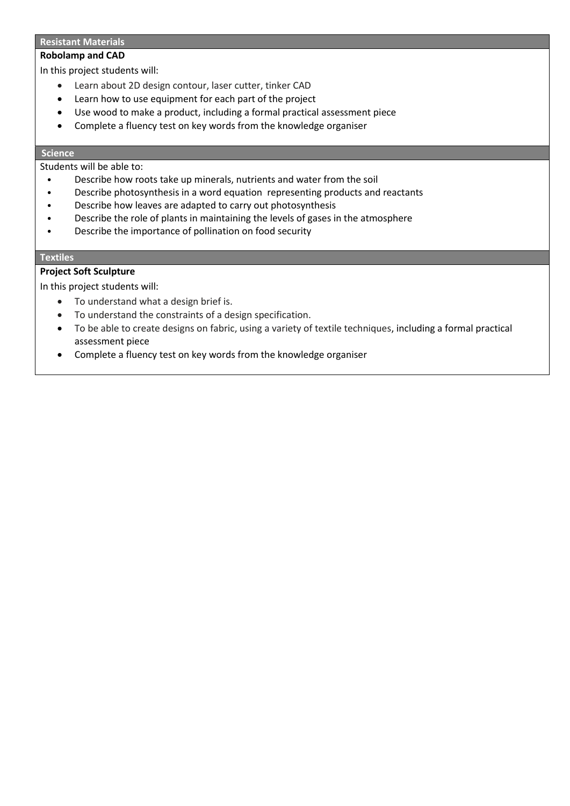#### **Resistant Materials**

### **Robolamp and CAD**

In this project students will:

- Learn about 2D design contour, laser cutter, tinker CAD
- Learn how to use equipment for each part of the project
- Use wood to make a product, including a formal practical assessment piece
- Complete a fluency test on key words from the knowledge organiser

# **Science**

Students will be able to:

- Describe how roots take up minerals, nutrients and water from the soil
- Describe photosynthesis in a word equation representing products and reactants
- Describe how leaves are adapted to carry out photosynthesis
- Describe the role of plants in maintaining the levels of gases in the atmosphere
- Describe the importance of pollination on food security

#### **Textiles**

## **Project Soft Sculpture**

- To understand what a design brief is.
- To understand the constraints of a design specification.
- To be able to create designs on fabric, using a variety of textile techniques, including a formal practical assessment piece
- Complete a fluency test on key words from the knowledge organiser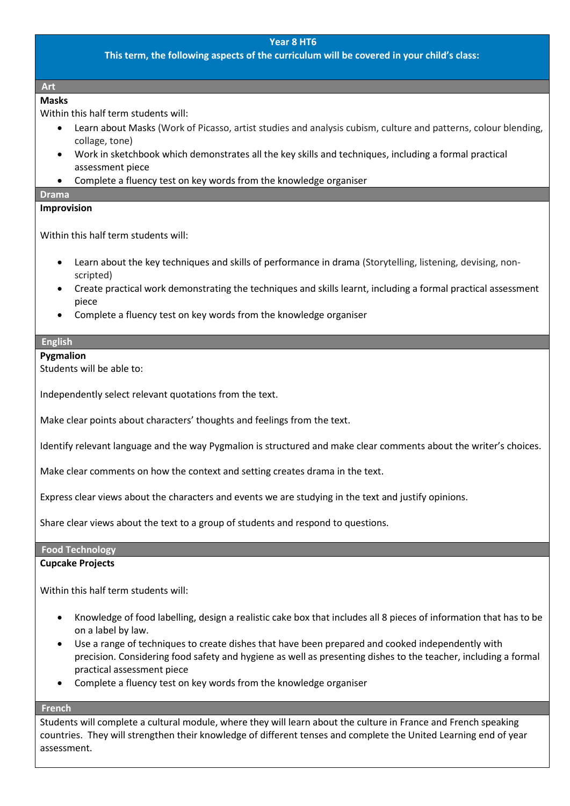## **This term, the following aspects of the curriculum will be covered in your child's class:**

#### **Art**

# **Masks**

Within this half term students will:

- Learn about Masks (Work of Picasso, artist studies and analysis cubism, culture and patterns, colour blending, collage, tone)
- Work in sketchbook which demonstrates all the key skills and techniques, including a formal practical assessment piece
- Complete a fluency test on key words from the knowledge organiser

# **Drama**

## **Improvision**

Within this half term students will:

- Learn about the key techniques and skills of performance in drama (Storytelling, listening, devising, nonscripted)
- Create practical work demonstrating the techniques and skills learnt, including a formal practical assessment piece
- Complete a fluency test on key words from the knowledge organiser

## **English**

#### **Pygmalion**

Students will be able to:

Independently select relevant quotations from the text.

Make clear points about characters' thoughts and feelings from the text.

Identify relevant language and the way Pygmalion is structured and make clear comments about the writer's choices.

Make clear comments on how the context and setting creates drama in the text.

Express clear views about the characters and events we are studying in the text and justify opinions.

Share clear views about the text to a group of students and respond to questions.

# **Food Technology**

#### **Cupcake Projects**

Within this half term students will:

- Knowledge of food labelling, design a realistic cake box that includes all 8 pieces of information that has to be on a label by law.
- Use a range of techniques to create dishes that have been prepared and cooked independently with precision. Considering food safety and hygiene as well as presenting dishes to the teacher, including a formal practical assessment piece
- Complete a fluency test on key words from the knowledge organiser

## **French**

Students will complete a cultural module, where they will learn about the culture in France and French speaking countries. They will strengthen their knowledge of different tenses and complete the United Learning end of year assessment.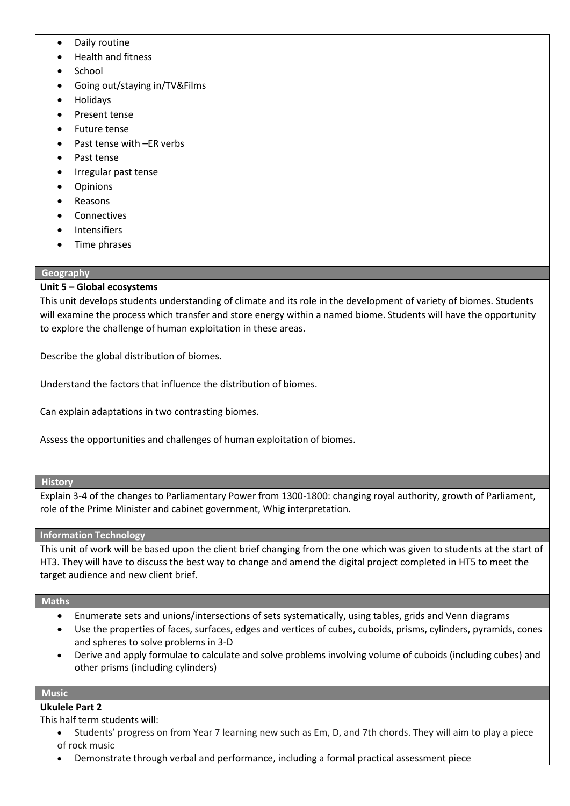- Daily routine
- Health and fitness
- School
- Going out/staying in/TV&Films
- Holidays
- Present tense
- Future tense
- Past tense with –ER verbs
- Past tense
- Irregular past tense
- Opinions
- Reasons
- **Connectives**
- **Intensifiers**
- Time phrases

## **Geography**

# **Unit 5 – Global ecosystems**

This unit develops students understanding of climate and its role in the development of variety of biomes. Students will examine the process which transfer and store energy within a named biome. Students will have the opportunity to explore the challenge of human exploitation in these areas.

Describe the global distribution of biomes.

Understand the factors that influence the distribution of biomes.

Can explain adaptations in two contrasting biomes.

Assess the opportunities and challenges of human exploitation of biomes.

#### **History**

Explain 3-4 of the changes to Parliamentary Power from 1300-1800: changing royal authority, growth of Parliament, role of the Prime Minister and cabinet government, Whig interpretation.

# **Information Technology**

This unit of work will be based upon the client brief changing from the one which was given to students at the start of HT3. They will have to discuss the best way to change and amend the digital project completed in HT5 to meet the target audience and new client brief.

#### **Maths**

- Enumerate sets and unions/intersections of sets systematically, using tables, grids and Venn diagrams
- Use the properties of faces, surfaces, edges and vertices of cubes, cuboids, prisms, cylinders, pyramids, cones and spheres to solve problems in 3-D
- Derive and apply formulae to calculate and solve problems involving volume of cuboids (including cubes) and other prisms (including cylinders)

#### **Music**

# **Ukulele Part 2**

This half term students will:

- Students' progress on from Year 7 learning new such as Em, D, and 7th chords. They will aim to play a piece of rock music
- Demonstrate through verbal and performance, including a formal practical assessment piece